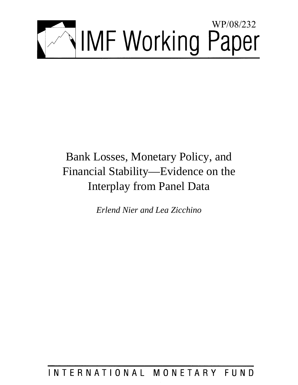

# Bank Losses, Monetary Policy, and Financial Stability—Evidence on the Interplay from Panel Data

*Erlend Nier and Lea Zicchino* 

## INTERNATIONAL MONETARY FUND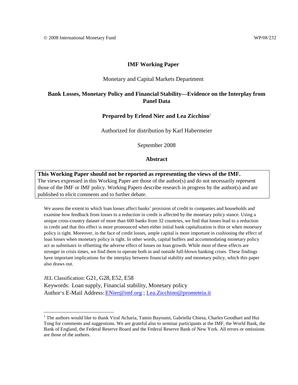## **IMF Working Paper**

#### Monetary and Capital Markets Department

## **Bank Losses, Monetary Policy and Financial Stability—Evidence on the Interplay from Panel Data**

### **Prepared by Erlend Nier and Lea Zicchino**<sup>1</sup>

Authorized for distribution by Karl Habermeier

September 2008

### **Abstract**

**This Working Paper should not be reported as representing the views of the IMF.** The views expressed in this Working Paper are those of the author(s) and do not necessarily represent those of the IMF or IMF policy. Working Papers describe research in progress by the author(s) and are published to elicit comments and to further debate.

We assess the extent to which loan losses affect banks' provision of credit to companies and households and examine how feedback from losses to a reduction in credit is affected by the monetary policy stance. Using a unique cross-country dataset of more than 600 banks from 32 countries, we find that losses lead to a reduction in credit and that this effect is more pronounced when either initial bank capitalization is thin or when monetary policy is tight. Moreover, in the face of credit losses, ample capital is more important in cushioning the effect of loan losses when monetary policy is tight. In other words, capital buffers and accommodating monetary policy act as *substitutes* in offsetting the adverse effect of losses on loan growth. While most of these effects are stronger in crisis times, we find them to operate both in and outside full-blown banking crises. These findings have important implications for the interplay between financial stability and monetary policy, which this paper also draws out.

JEL Classification: G21, G28, E52, E58 Keywords: Loan supply, Financial stability, Monetary policy Author's E-Mail Address: ENier@imf.org ; Lea.Zicchino@prometeia.it

<sup>&</sup>lt;sup>1</sup> The authors would like to thank Viral Acharia, Tamin Bayoumi, Gabriella Chiesa, Charles Goodhart and Hui Tong for comments and suggestions. We are grateful also to seminar participants at the IMF, the World Bank, the Bank of England, the Federal Reserve Board and the Federal Reserve Bank of New York. All errors or omissions are those of the authors.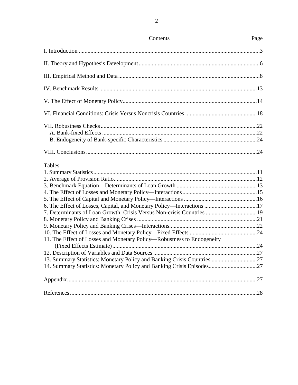| Contents                                                                | Page |
|-------------------------------------------------------------------------|------|
|                                                                         |      |
|                                                                         |      |
|                                                                         |      |
|                                                                         |      |
|                                                                         |      |
|                                                                         |      |
|                                                                         |      |
|                                                                         |      |
|                                                                         |      |
| Tables                                                                  |      |
|                                                                         |      |
|                                                                         |      |
|                                                                         |      |
|                                                                         |      |
|                                                                         |      |
| 6. The Effect of Losses, Capital, and Monetary Policy—Interactions 17   |      |
| 7. Determinants of Loan Growth: Crisis Versus Non-crisis Countries 19   |      |
|                                                                         |      |
|                                                                         |      |
|                                                                         |      |
| 11. The Effect of Losses and Monetary Policy—Robustness to Endogeneity  |      |
|                                                                         |      |
| 13. Summary Statistics: Monetary Policy and Banking Crisis Countries 27 |      |
| 14. Summary Statistics: Monetary Policy and Banking Crisis Episodes27   |      |
|                                                                         |      |
|                                                                         |      |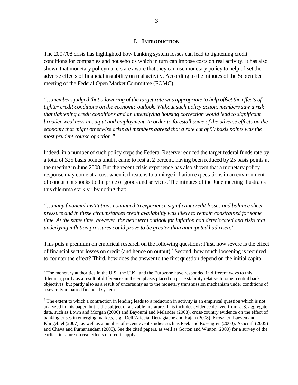## **I. INTRODUCTION**

The 2007/08 crisis has highlighted how banking system losses can lead to tightening credit conditions for companies and households which in turn can impose costs on real activity. It has also shown that monetary policymakers are aware that they can use monetary policy to help offset the adverse effects of financial instability on real activity. According to the minutes of the September meeting of the Federal Open Market Committee (FOMC):

*"…members judged that a lowering of the target rate was appropriate to help offset the effects of tighter credit conditions on the economic outlook. Without such policy action, members saw a risk that tightening credit conditions and an intensifying housing correction would lead to significant broader weakness in output and employment. In order to forestall some of the adverse effects on the economy that might otherwise arise all members agreed that a rate cut of 50 basis points was the most prudent course of action."*

Indeed, in a number of such policy steps the Federal Reserve reduced the target federal funds rate by a total of 325 basis points until it came to rest at 2 percent, having been reduced by 25 basis points at the meeting in June 2008. But the recent crisis experience has also shown that a monetary policy response may come at a cost when it threatens to unhinge inflation expectations in an environment of concurrent shocks to the price of goods and services. The minutes of the June meeting illustrates this dilemma starkly, $2$  by noting that:

*"…many financial institutions continued to experience significant credit losses and balance sheet pressure and in these circumstances credit availability was likely to remain constrained for some time. At the same time, however, the near term outlook for inflation had deteriorated and risks that underlying inflation pressures could prove to be greater than anticipated had risen."* 

This puts a premium on empirical research on the following questions: First, how severe is the effect of financial sector losses on credit (and hence on output).<sup>3</sup> Second, how much loosening is required to counter the effect? Third, how does the answer to the first question depend on the initial capital

 $2^2$  The monetary authorities in the U.S., the U.K., and the Eurozone have responded in different ways to this dilemma, partly as a result of differences in the emphasis placed on price stability relative to other central bank objectives, but partly also as a result of uncertainty as to the monetary transmission mechanism under conditions of a severely impaired financial system.

 $3$  The extent to which a contraction in lending leads to a reduction in activity is an empirical question which is not analyzed in this paper, but is the subject of a sizable literature. This includes evidence derived from U.S. aggregate data, such as Lown and Morgan (2006) and Bayoumi and Melander (2008), cross-country evidence on the effect of banking crises in emerging markets, e.g., Dell'Ariccia, Detragiache and Rajan (2008), Kroszner, Laeven and Klingebiel (2007), as well as a number of recent event studies such as Peek and Rosengren (2000), Ashcraft (2005) and Chava and Purnanandam (2005). See the cited papers, as well as Gorton and Winton (2000) for a survey of the earlier literature on real effects of credit supply.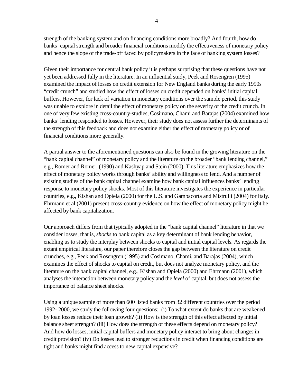strength of the banking system and on financing conditions more broadly? And fourth, how do banks' capital strength and broader financial conditions modify the effectiveness of monetary policy and hence the slope of the trade-off faced by policymakers in the face of banking system losses?

Given their importance for central bank policy it is perhaps surprising that these questions have not yet been addressed fully in the literature. In an influential study, Peek and Rosengren (1995) examined the impact of losses on credit extension for New England banks during the early 1990s "credit crunch" and studied how the effect of losses on credit depended on banks' initial capital buffers. However, for lack of variation in monetary conditions over the sample period, this study was unable to explore in detail the effect of monetary policy on the severity of the credit crunch. In one of very few existing cross-country-studies, Cosimano, Chami and Barajas (2004) examined how banks' lending responded to losses. However, their study does not assess further the determinants of the strength of this feedback and does not examine either the effect of monetary policy or of financial conditions more generally.

A partial answer to the aforementioned questions can also be found in the growing literature on the "bank capital channel" of monetary policy and the literature on the broader "bank lending channel," e.g., Romer and Romer, (1990) and Kashyap and Stein (2000). This literature emphasizes how the effect of monetary policy works through banks' ability and willingness to lend. And a number of existing studies of the bank capital channel examine how bank capital influences banks' lending response to monetary policy shocks. Most of this literature investigates the experience in particular countries, e.g., Kishan and Opiela (2000) for the U.S. and Gambacorta and Mistrulli (2004) for Italy. Ehrmann et al (2001) present cross-country evidence on how the effect of monetary policy might be affected by bank capitalization.

Our approach differs from that typically adopted in the "bank capital channel" literature in that we consider losses, that is, *shocks* to bank capital as a key determinant of bank lending behavior, enabling us to study the interplay between shocks to capital and initial capital levels. As regards the extant empirical literature, our paper therefore closes the gap between the literature on credit crunches, e.g., Peek and Rosengren (1995) and Cosimano, Chami, and Barajas (2004), which examines the effect of shocks to capital on credit, but does not analyze monetary policy, and the literature on the bank capital channel, e.g., Kishan and Opiela (2000) and Ehrmann (2001), which analyses the interaction between monetary policy and the *level* of capital, but does not assess the importance of balance sheet shocks.

Using a unique sample of more than 600 listed banks from 32 different countries over the period 1992- 2000, we study the following four questions: (i) To what extent do banks that are weakened by loan losses reduce their loan growth? (ii) How is the strength of this effect affected by initial balance sheet strength? (iii) How does the strength of these effects depend on monetary policy? And how do losses, initial capital buffers and monetary policy interact to bring about changes in credit provision? (iv) Do losses lead to stronger reductions in credit when financing conditions are tight and banks might find access to new capital expensive?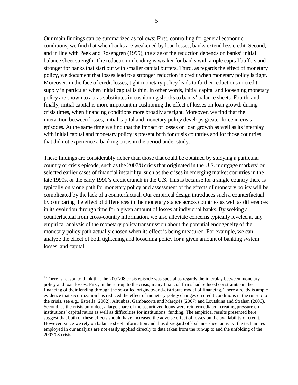Our main findings can be summarized as follows: First, controlling for general economic conditions, we find that when banks are weakened by loan losses, banks extend less credit. Second, and in line with Peek and Rosengren (1995), the size of the reduction depends on banks' initial balance sheet strength. The reduction in lending is weaker for banks with ample capital buffers and stronger for banks that start out with smaller capital buffers. Third, as regards the effect of monetary policy, we document that losses lead to a stronger reduction in credit when monetary policy is tight. Moreover, in the face of credit losses, tight monetary policy leads to further reductions in credit supply in particular when initial capital is thin. In other words, initial capital and loosening monetary policy are shown to act as substitutes in cushioning shocks to banks' balance sheets. Fourth, and finally, initial capital is more important in cushioning the effect of losses on loan growth during crisis times, when financing conditions more broadly are tight. Moreover, we find that the interaction between losses, initial capital and monetary policy develops greater force in crisis episodes. At the same time we find that the impact of losses on loan growth as well as its interplay with initial capital and monetary policy is present both for crisis countries and for those countries that did not experience a banking crisis in the period under study.

These findings are considerably richer than those that could be obtained by studying a particular country or crisis episode, such as the 2007/8 crisis that originated in the U.S. mortgage markets<sup>4</sup> or selected earlier cases of financial instability, such as the crises in emerging market countries in the late 1990s, or the early 1990's credit crunch in the U.S. This is because for a single country there is typically only one path for monetary policy and assessment of the effects of monetary policy will be complicated by the lack of a counterfactual. Our empirical design introduces such a counterfactual by comparing the effect of differences in the monetary stance across countries as well as differences in its evolution through time for a given amount of losses at individual banks. By seeking a counterfactual from cross-country information, we also alleviate concerns typically leveled at any empirical analysis of the monetary policy transmission about the potential endogeneity of the monetary policy path actually chosen when its effect is being measured. For example, we can analyze the effect of both tightening and loosening policy for a given amount of banking system losses, and capital.

<u>.</u>

 $4$  There is reason to think that the 2007/08 crisis episode was special as regards the interplay between monetary policy and loan losses. First, in the run-up to the crisis, many financial firms had reduced constraints on the financing of their lending through the so-called originate-and-distribute model of financing. There already is ample evidence that securitization has reduced the effect of monetary policy changes on credit conditions in the run-up to the crisis, see e.g., Estrella (2002), Altunbas, Gambacorta and Marqués (2007) and Loutskina and Strahan (2006). Second, as the crisis unfolded, a large share of the securitized loans were reintermediated, creating pressure on institutions' capital ratios as well as difficulties for institutions' funding. The empirical results presented here suggest that both of these effects should have increased the adverse effect of losses on the availability of credit. However, since we rely on balance sheet information and thus disregard off-balance sheet activity, the techniques employed in our analysis are not easily applied directly to data taken from the run-up to and the unfolding of the 2007/08 crisis.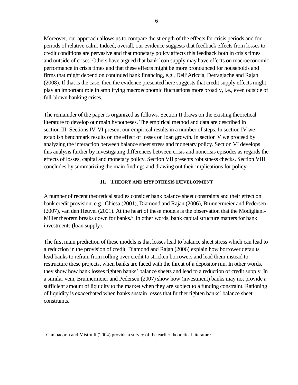Moreover, our approach allows us to compare the strength of the effects for crisis periods and for periods of relative calm. Indeed, overall, our evidence suggests that feedback effects from losses to credit conditions are pervasive and that monetary policy affects this feedback both in crisis times and outside of crises. Others have argued that bank loan supply may have effects on macroeconomic performance in crisis times and that these effects might be more pronounced for households and firms that might depend on continued bank financing, e.g., Dell'Ariccia, Detragiache and Rajan (2008). If that is the case, then the evidence presented here suggests that credit supply effects might play an important role in amplifying macroeconomic fluctuations more broadly, i.e., even outside of full-blown banking crises.

The remainder of the paper is organized as follows. Section II draws on the existing theoretical literature to develop our main hypotheses. The empirical method and data are described in section III. Sections IV-VI present our empirical results in a number of steps. In section IV we establish benchmark results on the effect of losses on loan growth. In section V we proceed by analyzing the interaction between balance sheet stress and monetary policy. Section VI develops this analysis further by investigating differences between crisis and noncrisis episodes as regards the effects of losses, capital and monetary policy. Section VII presents robustness checks. Section VIII concludes by summarizing the main findings and drawing out their implications for policy.

## **II. THEORY AND HYPOTHESIS DEVELOPMENT**

A number of recent theoretical studies consider bank balance sheet constraints and their effect on bank credit provision, e.g., Chiesa (2001), Diamond and Rajan (2006), Brunnermeier and Pedersen (2007), van den Heuvel (2001). At the heart of these models is the observation that the Modigliani-Miller theorem breaks down for banks.<sup>5</sup> In other words, bank capital structure matters for bank investments (loan supply).

The first main prediction of these models is that losses lead to balance sheet stress which can lead to a reduction in the provision of credit. Diamond and Rajan (2006) explain how borrower defaults lead banks to refrain from rolling over credit to stricken borrowers and lead them instead to restructure these projects, when banks are faced with the threat of a depositor run. In other words, they show how bank losses tighten banks' balance sheets and lead to a reduction of credit supply. In a similar vein, Brunnermeier and Pedersen (2007) show how (investment) banks may not provide a sufficient amount of liquidity to the market when they are subject to a funding constraint. Rationing of liquidity is exacerbated when banks sustain losses that further tighten banks' balance sheet constraints.

<sup>5</sup> Gambacorta and Mistrulli (2004) provide a survey of the earlier theoretical literature.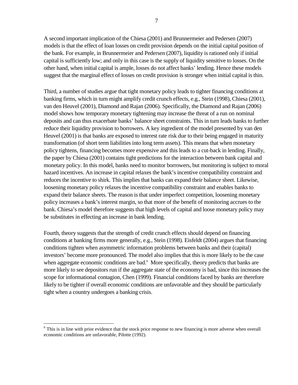A second important implication of the Chiesa (2001) and Brunnermeier and Pedersen (2007) models is that the effect of loan losses on credit provision depends on the initial capital position of the bank. For example, in Brunnermeier and Pedersen (2007), liquidity is rationed only if initial capital is sufficiently low; and only in this case is the supply of liquidity sensitive to losses. On the other hand, when initial capital is ample, losses do not affect banks' lending. Hence these models suggest that the marginal effect of losses on credit provision is stronger when initial capital is thin.

Third, a number of studies argue that tight monetary policy leads to tighter financing conditions at banking firms, which in turn might amplify credit crunch effects, e.g., Stein (1998), Chiesa (2001), van den Heuvel (2001), Diamond and Rajan (2006). Specifically, the Diamond and Rajan (2006) model shows how temporary monetary tightening may increase the threat of a run on nominal deposits and can thus exacerbate banks' balance sheet constraints. This in turn leads banks to further reduce their liquidity provision to borrowers. A key ingredient of the model presented by van den Heuvel (2001) is that banks are exposed to interest rate risk due to their being engaged in maturity transformation (of short term liabilities into long term assets). This means that when monetary policy tightens, financing becomes more expensive and this leads to a cut-back in lending. Finally, the paper by Chiesa (2001) contains tight predictions for the interaction between bank capital and monetary policy. In this model, banks need to monitor borrowers, but monitoring is subject to moral hazard incentives. An increase in capital relaxes the bank's incentive compatibility constraint and reduces the incentive to shirk. This implies that banks can expand their balance sheet. Likewise, loosening monetary policy relaxes the incentive compatibility constraint and enables banks to expand their balance sheets. The reason is that under imperfect competition, loosening monetary policy increases a bank's interest margin, so that more of the benefit of monitoring accrues to the bank. Chiesa's model therefore suggests that high levels of capital and loose monetary policy may be substitutes in effecting an increase in bank lending.

Fourth, theory suggests that the strength of credit crunch effects should depend on financing conditions at banking firms more generally, e.g., Stein (1998). Eisfeldt (2004) argues that financing conditions tighten when asymmetric information problems between banks and their (capital) investors' become more pronounced. The model also implies that this is more likely to be the case when aggregate economic conditions are bad.<sup>6</sup> More specifically, theory predicts that banks are more likely to see depositors run if the aggregate state of the economy is bad, since this increases the scope for informational contagion, Chen (1999). Financial conditions faced by banks are therefore likely to be tighter if overall economic conditions are unfavorable and they should be particularly tight when a country undergoes a banking crisis.

<sup>&</sup>lt;sup>6</sup> This is in line with prior evidence that the stock price response to new financing is more adverse when overall economic conditions are unfavorable, Pilotte (1992).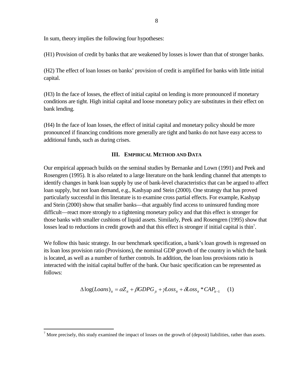In sum, theory implies the following four hypotheses:

(H1) Provision of credit by banks that are weakened by losses is lower than that of stronger banks.

(H2) The effect of loan losses on banks' provision of credit is amplified for banks with little initial capital.

(H3) In the face of losses, the effect of initial capital on lending is more pronounced if monetary conditions are tight. High initial capital and loose monetary policy are substitutes in their effect on bank lending.

(H4) In the face of loan losses, the effect of initial capital and monetary policy should be more pronounced if financing conditions more generally are tight and banks do not have easy access to additional funds, such as during crises.

## **III. EMPIRICAL METHOD AND DATA**

Our empirical approach builds on the seminal studies by Bernanke and Lown (1991) and Peek and Rosengren (1995). It is also related to a large literature on the bank lending channel that attempts to identify changes in bank loan supply by use of bank-level characteristics that can be argued to affect loan supply, but not loan demand, e.g., Kashyap and Stein (2000). One strategy that has proved particularly successful in this literature is to examine cross partial effects. For example, Kashyap and Stein (2000) show that smaller banks—that arguably find access to uninsured funding more difficult—react more strongly to a tightening monetary policy and that this effect is stronger for those banks with smaller cushions of liquid assets. Similarly, Peek and Rosengren (1995) show that losses lead to reductions in credit growth and that this effect is stronger if initial capital is thin<sup>7</sup>.

We follow this basic strategy. In our benchmark specification, a bank's loan growth is regressed on its loan loss provision ratio (Provisions), the nominal GDP growth of the country in which the bank is located, as well as a number of further controls. In addition, the loan loss provisions ratio is interacted with the initial capital buffer of the bank. Our basic specification can be represented as follows:

$$
\Delta \log (Loans)_{it} = \alpha Z_{it} + \beta GDPG_{jt} + \gamma Loss_{it} + \delta Loss_{it} * CAP_{it-1} \tag{1}
$$

 $<sup>7</sup>$  More precisely, this study examined the impact of losses on the growth of (deposit) liabilities, rather than assets.</sup>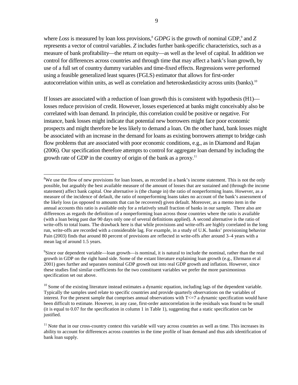where Loss is measured by loan loss provisions,<sup>8</sup> GDPG is the growth of nominal GDP,<sup>9</sup> and Z represents a vector of control variables. *Z* includes further bank-specific characteristics, such as a measure of bank profitability—the return on equity—as well as the level of capital. In addition we control for differences across countries and through time that may affect a bank's loan growth, by use of a full set of country dummy variables and time-fixed effects. Regressions were performed using a feasible generalized least squares (FGLS) estimator that allows for first-order autocorrelation within units, as well as correlation and heteroskedasticity across units (banks).<sup>10</sup>

If losses are associated with a reduction of loan growth this is consistent with hypothesis (H1) losses reduce provision of credit. However, losses experienced at banks might conceivably also be correlated with loan demand. In principle, this correlation could be positive or negative. For instance, bank losses might indicate that potential new borrowers might face poor economic prospects and might therefore be less likely to demand a loan. On the other hand, bank losses might be associated with an increase in the demand for loans as existing borrowers attempt to bridge cash flow problems that are associated with poor economic conditions, e.g., as in Diamond and Rajan (2006). Our specification therefore attempts to control for aggregate loan demand by including the growth rate of GDP in the country of origin of the bank as a proxy.<sup>11</sup>

 $\overline{a}$  $8$ We use the flow of new provisions for loan losses, as recorded in a bank's income statement. This is not the only possible, but arguably the best available measure of the amount of losses that are sustained and (through the income statement) affect bank capital. One alternative is (the change in) the ratio of nonperforming loans. However, as a measure of the incidence of default, the ratio of nonperforming loans takes no account of the bank's assessment of the likely loss (as opposed to amounts that can be recovered) given default. Moreover, as a memo item in the annual accounts this ratio is available only for a relatively small fraction of banks in our sample. There also are differences as regards the definition of a nonperforming loan across those countries where the ratio is available (with a loan being past due 90 days only one of several definitions applied). A second alternative is the ratio of write-offs to total loans. The drawback here is that while provisions and write-offs are highly correlated in the long run, write-offs are recorded with a considerable lag. For example, in a study of U.K. banks' provisioning behavior Pain (2003) finds that around 80 percent of provisions are reflected in write-offs after around 3–4 years with a mean lag of around 1.5 years.

<sup>&</sup>lt;sup>9</sup>Since our dependent variable—loan growth—is nominal, it is natural to include the nominal, rather than the real growth in GDP on the right hand side. Some of the extant literature explaining loan growth (e.g., Ehrmann et al 2001) goes further and separates nominal GDP growth out into real GDP growth and inflation. However, since these studies find similar coefficients for the two constituent variables we prefer the more parsimonious specification set out above.

 $10$  Some of the existing literature instead estimates a dynamic equation, including lags of the dependent variable. Typically the samples used relate to specific countries and provide quarterly observations on the variables of interest. For the present sample that comprises annual observations with T<=7 a dynamic specification would have been difficult to estimate. However, in any case, first-order autocorrelation in the residuals was found to be small (it is equal to 0.07 for the specification in column 1 in Table 1), suggesting that a static specification can be justified.

 $11$  Note that in our cross-country context this variable will vary across countries as well as time. This increases its ability to account for differences across countries in the time profile of loan demand and thus aids identification of bank loan supply.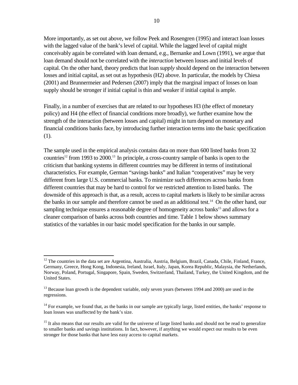More importantly, as set out above, we follow Peek and Rosengren (1995) and interact loan losses with the lagged value of the bank's level of capital. While the lagged level of capital might conceivably again be correlated with loan demand, e.g., Bernanke and Lown (1991), we argue that loan demand should not be correlated with the *interaction* between losses and initial levels of capital. On the other hand, theory predicts that loan *supply* should depend on the interaction between losses and initial capital, as set out as hypothesis (H2) above. In particular, the models by Chiesa (2001) and Brunnermeier and Pedersen (2007) imply that the marginal impact of losses on loan supply should be stronger if initial capital is thin and weaker if initial capital is ample.

Finally, in a number of exercises that are related to our hypotheses H3 (the effect of monetary policy) and H4 (the effect of financial conditions more broadly), we further examine how the strength of the interaction (between losses and capital) might in turn depend on monetary and financial conditions banks face, by introducing further interaction terms into the basic specification (1).

The sample used in the empirical analysis contains data on more than 600 listed banks from 32 countries<sup>12</sup> from 1993 to 2000.<sup>13</sup> In principle, a cross-country sample of banks is open to the criticism that banking systems in different countries may be different in terms of institutional characteristics. For example, German "savings banks" and Italian "cooperatives" may be very different from large U.S. commercial banks. To minimize such differences across banks from different countries that may be hard to control for we restricted attention to listed banks. The downside of this approach is that, as a result, access to capital markets is likely to be similar across the banks in our sample and therefore cannot be used as an additional test.<sup>14</sup> On the other hand, our sampling technique ensures a reasonable degree of homogeneity across banks<sup>15</sup> and allows for a cleaner comparison of banks across both countries and time. Table 1 below shows summary statistics of the variables in our basic model specification for the banks in our sample.

<sup>&</sup>lt;sup>12</sup> The countries in the data set are Argentina, Australia, Austria, Belgium, Brazil, Canada, Chile, Finland, France, Germany, Greece, Hong Kong, Indonesia, Ireland, Israel, Italy, Japan, Korea Republic, Malaysia, the Netherlands, Norway, Poland, Portugal, Singapore, Spain, Sweden, Switzerland, Thailand, Turkey, the United Kingdom, and the United States.

<sup>&</sup>lt;sup>13</sup> Because loan growth is the dependent variable, only seven years (between 1994 and 2000) are used in the regressions.

 $<sup>14</sup>$  For example, we found that, as the banks in our sample are typically large, listed entities, the banks' response to</sup> loan losses was unaffected by the bank's size.

<sup>&</sup>lt;sup>15</sup> It also means that our results are valid for the universe of large listed banks and should not be read to generalize to smaller banks and savings institutions. In fact, however, if anything we would expect our results to be even stronger for those banks that have less easy access to capital markets.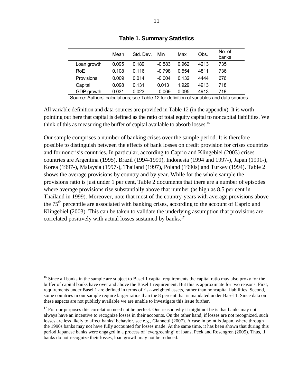|             | Mean  | Std. Dev. | Min      | Max   | Obs. | No. of<br>banks |
|-------------|-------|-----------|----------|-------|------|-----------------|
| Loan growth | 0.095 | 0.189     | $-0.583$ | 0.962 | 4213 | 735             |
| RoE         | 0.108 | 0.116     | $-0.798$ | 0.554 | 4811 | 736             |
| Provisions  | 0.009 | 0.014     | $-0.004$ | 0.132 | 4444 | 676             |
| Capital     | 0.098 | 0.131     | 0.013    | 1.929 | 4913 | 718             |
| GDP growth  | 0.031 | 0.023     | $-0.069$ | 0.095 | 4913 | 718             |
|             |       |           |          |       |      |                 |

**Table 1. Summary Statistics** 

Source: Authors' calculations; see Table 12 for definition of variables and data sources.

All variable definition and data-sources are provided in Table 12 (in the appendix). It is worth pointing out here that capital is defined as the ratio of total equity capital to noncapital liabilities. We think of this as measuring the buffer of capital available to absorb losses.<sup>16</sup>

Our sample comprises a number of banking crises over the sample period. It is therefore possible to distinguish between the effects of bank losses on credit provision for crises countries and for noncrisis countries. In particular, according to Caprio and Klingebiel (2003) crises countries are Argentina (1995), Brazil (1994-1999), Indonesia (1994 and 1997-), Japan (1991-), Korea (1997-), Malaysia (1997-), Thailand (1997), Poland (1990s) and Turkey (1994). Table 2 shows the average provisions by country and by year. While for the whole sample the provisions ratio is just under 1 per cent, Table 2 documents that there are a number of episodes where average provisions rise substantially above that number (as high as 8.5 per cent in Thailand in 1999). Moreover, note that most of the country-years with average provisions above the  $75<sup>th</sup>$  percentile are associated with banking crises, according to the account of Caprio and Klingebiel (2003). This can be taken to validate the underlying assumption that provisions are correlated positively with actual losses sustained by banks.<sup>17</sup>

<sup>&</sup>lt;sup>16</sup> Since all banks in the sample are subject to Basel 1 capital requirements the capital ratio may also proxy for the buffer of capital banks have over and above the Basel 1 requirement. But this is approximate for two reasons. First, requirements under Basel 1 are defined in terms of risk-weighted assets, rather than noncapital liabilities. Second, some countries in our sample require larger ratios than the 8 percent that is mandated under Basel 1. Since data on these aspects are not publicly available we are unable to investigate this issue further.

<sup>&</sup>lt;sup>17</sup> For our purposes this correlation need not be perfect. One reason why it might not be is that banks may not always have an incentive to recognize losses in their accounts. On the other hand, if losses are not recognized, such losses are less likely to affect banks' behavior, see e.g., Giannetti (2007). A case in point is Japan, where through the 1990s banks may not have fully accounted for losses made. At the same time, it has been shown that during this period Japanese banks were engaged in a process of 'evergreening' of loans, Peek and Rosengren (2005). Thus, if banks do not recognize their losses, loan growth may not be reduced.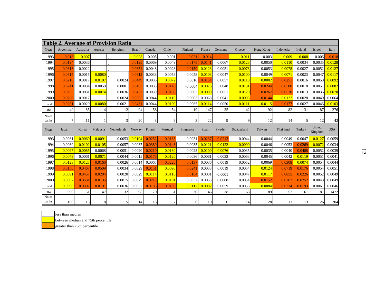|                |                |           |                | <b>Table 2. Average of Provision Ratio</b> |               |        |          |           |        |           |             |           |           |         |                   |            |
|----------------|----------------|-----------|----------------|--------------------------------------------|---------------|--------|----------|-----------|--------|-----------|-------------|-----------|-----------|---------|-------------------|------------|
| Year           | Argentina      | Australia | Austria        | Bel gium                                   | <b>Brazil</b> | Canada | Chile    | Finland   | France | Germany   | Greece      | Hong Kong | Indonesia | Ireland | Israel            | Italy      |
| 1993           | 0.018          | 0.007     |                |                                            | 0.008         | 0.005  | 0.001    | 0.021     | 0.014  |           | 0.011       | 0.003     | 0.009     | 0.008   | 0.006             | 0.018      |
| 1994           | 0.0194         | 0.0036    |                |                                            | 0.0195        | 0.0069 | 0.0049   | 0.0175    | 0.0141 | 0.0067    | 0.0123      | 0.0050    | 0.0110    | 0.0034  | 0.0035            | 0.0128     |
| 1995           | 0.0313         | 0.0022    |                |                                            | 0.0654        | 0.0048 | 0.0028   | 0.0150    | 0.0123 | 0.0051    | 0.0078      | 0.0053    | 0.0078    | 0.0027  | 0.0052            | 0.0127     |
| 1996           | 0.0315         | 0.0015    | 0.0080         |                                            | 0.0612        | 0.0038 | 0.0053   | 0.0058    | 0.0103 | 0.0047    | 0.0100      | 0.0049    | 0.0071    | 0.0023  | 0.0047            | 0.0117     |
| 1997           | 0.0210         | 0.0017    | 0.0107         | 0.0024                                     | 0.0449        | 0.0036 | 0.0072   | 0.0016    | 0.0154 | 0.0057    | 0.0113      | 0.0082    | 0.0251    | 0.0016  | 0.0050            | 0.0092     |
| 1998           | 0.0241         | 0.0034    | 0.0059         | 0.0001                                     | 0.0463        | 0.0035 | 0.0146   | $-0.0004$ | 0.0076 | 0.0048    | 0.0131      | 0.0244    | 0.0500    | 0.0018  | 0.0051            | 0.0082     |
| 1999           | 0.0293         | 0.0031    | 0.0074         | 0.0036                                     | 0.0437        | 0.0039 | 0.0188   | 0.0003    | 0.0098 | 0.0051    | 0.0120      | 0.0267    | 0.0520    | 0.0013  | 0.0036            | 0.0070     |
| 2000           | 0.0268         | 0.0017    |                | 0.0024                                     | 0.0365        | 0.0044 | 0.0110   | 0.0003    | 0.0068 | 0.0041    | 0.0095      | 0.0144    | 0.0127    | 0.0028  | 0.0040            | 0.0064     |
| Total          | 0.0261         | 0.0029    | 0.0080         | 0.0021                                     | 0.0431        | 0.0044 | 0.0100   | 0.0065    | 0.0114 | 0.0050    | 0.0111      | 0.0115    | 0.0177    | 0.0027  | 0.0046            | 0.0103     |
| Obs            | 40             | 85        | $\overline{4}$ | 12                                         | 94            | 58     | 54       | 19        | 147    | 35        | 42          | 92        | 82        | 31      | 87                | 276        |
| No of<br>banks | $\overline{7}$ | 11        |                | 3                                          | 20            | 8      | 9        | 3         | 22     | q         | 9           | 12        | 14        | 5       | 12                | 42         |
|                |                |           |                |                                            |               |        |          |           |        |           |             |           |           |         |                   |            |
| Year           | Japan          | Korea     | Malaysia       | Netherlands                                | Norway        | Poland | Portugal | Singapore | Spain  | Sweden    | Switzerland | Taiwan    | Thai land | Turkey  | United<br>Kingdom | <b>USA</b> |
| 1993           | 0.0031         | 0.0069    | 0.0091         | 0.0053                                     | 0.0104        | 0.0252 | 0.0183   | 0.0031    | 0.0237 | 0.0212    | 0.0044      | 0.0044    | 0.0049    | 0.0047  | 0.0127            | 0.0059     |
| 1994           | 0.0039         | 0.0102    | 0.0105         | 0.0057                                     | 0.0037        | 0.0389 | 0.0146   | 0.0035    | 0.0121 | 0.0122    | 0.0099      | 0.0046    | 0.0053    | 0.0269  | 0.0072            | 0.0034     |
| 1995           | 0.0097         | 0.0085    | 0.0068         | 0.0051                                     | 0.0020        | 0.0210 | 0.0130   | 0.0023    | 0.0100 | 0.0076    | 0.0035      | 0.0035    | 0.0040    | 0.0408  | 0.0052            | 0.0039     |
| 1996           | 0.0073         | 0.0061    | 0.0071         | 0.0044                                     | 0.0015        | 0.0176 | 0.0120   | 0.0036    | 0.0061 | 0.0033    | 0.0063      | 0.0045    | 0.0042    | 0.0119  | 0.0051            | 0.0041     |
| 1997           | 0.0123         | 0.0128    | 0.0160         | 0.0026                                     | 0.0014        | 0.0065 | 0.0220   | 0.0137    | 0.0036 | 0.0019    | 0.0052      | 0.0069    | 0.0308    | 0.0074  | 0.0054            | 0.0044     |
| 1998           | 0.0156         | 0.0467    | 0.0509         | 0.0034                                     | 0.0029        | 0.0151 | 0.0098   | 0.0241    | 0.0033 | 0.0019    | 0.0054      | 0.0124    | 0.0719    | 0.0176  | 0.0054            | 0.0051     |
| 1999           | 0.0091         | 0.0457    | 0.0204         | 0.0020                                     | 0.0029        | 0.0114 | 0.0116   | 0.0164    | 0.0031 | $-0.0001$ | 0.0047      | 0.0117    | 0.0855    | 0.0226  | 0.0052            | 0.0049     |
| 2000           | 0.0092         | 0.0534    | 0.0135         | 0.0015                                     | 0.0029        | 0.0213 | 0.0101   | 0.0037    | 0.0053 | 0.0008    | 0.0054      | 0.0152    | 0.0262    | 0.0252  | 0.0043            | 0.0049     |
| Total          | 0.0090         | 0.0307    | 0.0191         | 0.0036                                     | 0.0032        | 0.0183 | 0.0139   | 0.0112    | 0.0082 | 0.0059    | 0.0053      | 0.0084    | 0.0334    | 0.0193  | 0.0061            | 0.0046     |
| Obs<br>No of   | 690            | 61        | 47             | 32                                         | 98            | 70     | 51       | 30        | 146    | 38        | 63          | 189       | 57        | 61      | 181               | 1472       |



less than median

between median and 75th percentile

greater than 75th percentile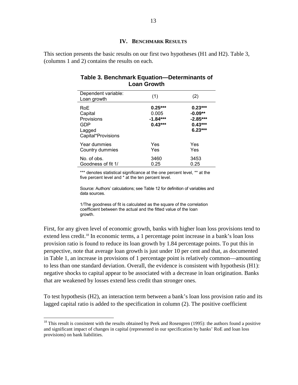## **IV. BENCHMARK RESULTS**

This section presents the basic results on our first two hypotheses (H1 and H2). Table 3, (columns 1 and 2) contains the results on each.

| Dependent variable:<br>Loan growth                                         | (1)                                           | (2)                                                            |
|----------------------------------------------------------------------------|-----------------------------------------------|----------------------------------------------------------------|
| <b>RoE</b><br>Capital<br>Provisions<br>GDP<br>Lagged<br>Capital*Provisions | $0.25***$<br>0.005<br>$-1.84***$<br>$0.43***$ | $0.23***$<br>$-0.09**$<br>$-2.85***$<br>$0.43***$<br>$6.23***$ |
| Year dummies<br>Country dummies                                            | Yes<br>Yes                                    | Yes<br>Yes                                                     |
| No. of obs.<br>Goodness of fit 1/                                          | 3460<br>0.25                                  | 3453<br>0.25                                                   |

## **Table 3. Benchmark Equation—Determinants of Loan Growth**

\*\*\* denotes statistical significance at the one percent level, \*\* at the five percent level and \* at the ten percent level.

Source: Authors' calculations; see Table 12 for definition of variables and data sources.

1/The goodness of fit is calculated as the square of the correlation coefficient between the actual and the fitted value of the loan growth.

First, for any given level of economic growth, banks with higher loan loss provisions tend to extend less credit.<sup>18</sup> In economic terms, a 1 percentage point increase in a bank's loan loss provision ratio is found to reduce its loan growth by 1.84 percentage points. To put this in perspective, note that average loan growth is just under 10 per cent and that, as documented in Table 1, an increase in provisions of 1 percentage point is relatively common—amounting to less than one standard deviation. Overall, the evidence is consistent with hypothesis (H1): negative shocks to capital appear to be associated with a decrease in loan origination. Banks that are weakened by losses extend less credit than stronger ones.

To test hypothesis (H2), an interaction term between a bank's loan loss provision ratio and its lagged capital ratio is added to the specification in column (2). The positive coefficient

1

 $18$  This result is consistent with the results obtained by Peek and Rosengren (1995): the authors found a positive and significant impact of changes in capital (represented in our specification by banks' RoE and loan loss provisions) on bank liabilities.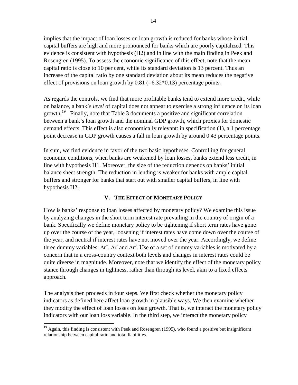implies that the impact of loan losses on loan growth is reduced for banks whose initial capital buffers are high and more pronounced for banks which are poorly capitalized. This evidence is consistent with hypothesis (H2) and in line with the main finding in Peek and Rosengren (1995). To assess the economic significance of this effect, note that the mean capital ratio is close to 10 per cent, while its standard deviation is 13 percent. Thus an increase of the capital ratio by one standard deviation about its mean reduces the negative effect of provisions on loan growth by  $0.81$  (=6.32 $*0.13$ ) percentage points.

As regards the controls, we find that more profitable banks tend to extend more credit, while on balance, a bank's *level* of capital does not appear to exercise a strong influence on its loan growth.19 Finally, note that Table 3 documents a positive and significant correlation between a bank's loan growth and the nominal GDP growth, which proxies for domestic demand effects. This effect is also economically relevant: in specification (1), a 1 percentage point decrease in GDP growth causes a fall in loan growth by around 0.43 percentage points.

In sum, we find evidence in favor of the two basic hypotheses. Controlling for general economic conditions, when banks are weakened by loan losses, banks extend less credit, in line with hypothesis H1. Moreover, the size of the reduction depends on banks' initial balance sheet strength. The reduction in lending is weaker for banks with ample capital buffers and stronger for banks that start out with smaller capital buffers, in line with hypothesis H2.

## **V. THE EFFECT OF MONETARY POLICY**

How is banks' response to loan losses affected by monetary policy? We examine this issue by analyzing changes in the short term interest rate prevailing in the country of origin of a bank. Specifically we define monetary policy to be tightening if short term rates have gone up over the course of the year, loosening if interest rates have come down over the course of the year, and neutral if interest rates have not moved over the year. Accordingly, we define three dummy variables:  $\Delta r^+$ ,  $\Delta r^-$  and  $\Delta r^0$ . Use of a set of dummy variables is motivated by a concern that in a cross-country context both levels and changes in interest rates could be quite diverse in magnitude. Moreover, note that we identify the effect of the monetary policy stance through changes in tightness, rather than through its level, akin to a fixed effects approach.

The analysis then proceeds in four steps. We first check whether the monetary policy indicators as defined here affect loan growth in plausible ways. We then examine whether they modify the effect of loan losses on loan growth. That is, we interact the monetary policy indicators with our loan loss variable. In the third step, we interact the monetary policy

 $19$  Again, this finding is consistent with Peek and Rosengren (1995), who found a positive but insignificant relationship between capital ratio and total liabilities.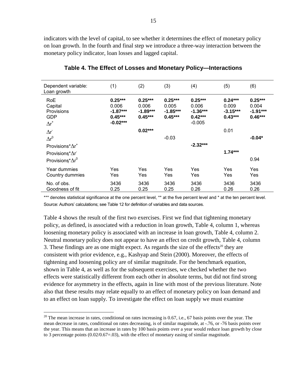indicators with the level of capital, to see whether it determines the effect of monetary policy on loan growth. In the fourth and final step we introduce a three-way interaction between the monetary policy indicator, loan losses and lagged capital.

| Dependent variable:<br>Loan growth                                | (1)                                                         | (2)                                           | (3)                                           | (4)                                                       | (5)                                           | (6)                                           |
|-------------------------------------------------------------------|-------------------------------------------------------------|-----------------------------------------------|-----------------------------------------------|-----------------------------------------------------------|-----------------------------------------------|-----------------------------------------------|
| <b>RoE</b><br>Capital<br>Provisions<br><b>GDP</b><br>$\Delta r^*$ | $0.25***$<br>0.006<br>$-1.87***$<br>$0.45***$<br>$-0.02***$ | $0.25***$<br>0.006<br>$-1.89***$<br>$0.45***$ | $0.25***$<br>0.005<br>$-1.85***$<br>$0.45***$ | $0.25***$<br>0.006<br>$-1.36***$<br>$0.42***$<br>$-0.005$ | $0.24***$<br>0.009<br>$-3.15***$<br>$0.43***$ | $0.25***$<br>0.004<br>$-1.91***$<br>$0.46***$ |
| $\Delta r$                                                        |                                                             | $0.02***$                                     |                                               |                                                           | 0.01                                          |                                               |
| $\Delta r^0$                                                      |                                                             |                                               | $-0.03$                                       |                                                           |                                               | $-0.04*$                                      |
| Provisions* $\Delta r^*$                                          |                                                             |                                               |                                               | $-2.32***$                                                |                                               |                                               |
| Provisions* $\Delta r$                                            |                                                             |                                               |                                               |                                                           | $1.74***$                                     |                                               |
| Provisions* $\Delta r^0$                                          |                                                             |                                               |                                               |                                                           |                                               | 0.94                                          |
| Year dummies<br>Country dummies                                   | Yes<br>Yes                                                  | Yes<br>Yes                                    | Yes<br>Yes                                    | Yes<br>Yes                                                | Yes<br>Yes                                    | Yes<br>Yes                                    |
| No. of obs.<br>Goodness of fit                                    | 3436<br>0.25                                                | 3436<br>0.25                                  | 3436<br>0.25                                  | 3436<br>0.26                                              | 3436<br>0.26                                  | 3436<br>0.26                                  |

**Table 4. The Effect of Losses and Monetary Policy—Interactions** 

\*\*\* denotes statistical significance at the one percent level, \*\* at the five percent level and \* at the ten percent level. Source: Authors' calculations; see Table 12 for definition of variables and data sources.

Table 4 shows the result of the first two exercises. First we find that tightening monetary policy, as defined, is associated with a reduction in loan growth, Table 4, column 1, whereas loosening monetary policy is associated with an increase in loan growth, Table 4, column 2. Neutral monetary policy does not appear to have an effect on credit growth, Table 4, column 3. These findings are as one might expect. As regards the size of the effects<sup>20</sup> they are consistent with prior evidence, e.g., Kashyap and Stein (2000). Moreover, the effects of tightening and loosening policy are of similar magnitude. For the benchmark equation, shown in Table 4, as well as for the subsequent exercises, we checked whether the two effects were statistically different from each other in absolute terms, but did not find strong evidence for asymmetry in the effects, again in line with most of the previous literature. Note also that these results may relate equally to an effect of monetary policy on loan demand and to an effect on loan supply. To investigate the effect on loan supply we must examine

1

 $^{20}$  The mean increase in rates, conditional on rates increasing is 0.67, i.e., 67 basis points over the year. The mean decrease in rates, conditional on rates decreasing, is of similar magnitude, at -.76, or -76 basis points over the year. This means that an increase in rates by 100 basis points over a year would reduce loan growth by close to 3 percentage points  $(0.02/0.67=03)$ , with the effect of monetary easing of similar magnitude.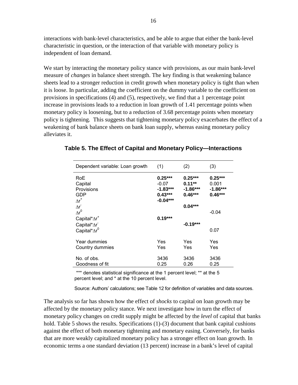interactions with bank-level characteristics, and be able to argue that either the bank-level characteristic in question, or the interaction of that variable with monetary policy is independent of loan demand.

We start by interacting the monetary policy stance with provisions, as our main bank-level measure of *changes* in balance sheet strength. The key finding is that weakening balance sheets lead to a stronger reduction in credit growth when monetary policy is tight than when it is loose. In particular, adding the coefficient on the dummy variable to the coefficient on provisions in specifications (4) and (5), respectively, we find that a 1 percentage point increase in provisions leads to a reduction in loan growth of 1.41 percentage points when monetary policy is loosening, but to a reduction of 3.68 percentage points when monetary policy is tightening. This suggests that tightening monetary policy exacerbates the effect of a weakening of bank balance sheets on bank loan supply, whereas easing monetary policy alleviates it.

| Dependent variable: Loan growth                                                              | (1)                                                           | (2)                                               | (3)                                         |
|----------------------------------------------------------------------------------------------|---------------------------------------------------------------|---------------------------------------------------|---------------------------------------------|
| RoE<br>Capital<br>Provisions<br>GDP<br>$\Delta r^*$                                          | $0.25***$<br>$-0.07$<br>$-1.83***$<br>$0.43***$<br>$-0.04***$ | $0.25***$<br>$0.11***$<br>$-1.86***$<br>$0.46***$ | $0.25***$<br>0.001<br>-1.86***<br>$0.46***$ |
| $\Delta r$<br>$\Delta r^0$<br>Capital* $\Delta r^*$<br>Capital*Ar<br>Capital*Ar <sup>0</sup> | $0.19***$                                                     | $0.04***$<br>$-0.19***$                           | $-0.04$<br>0.07                             |
| Year dummies<br>Country dummies                                                              | Yes<br>Yes                                                    | Yes<br>Yes                                        | Yes<br>Yes                                  |
| No. of obs.<br>Goodness of fit                                                               | 3436<br>0.25                                                  | 3436<br>0.26                                      | 3436<br>0.25                                |

**Table 5. The Effect of Capital and Monetary Policy—Interactions** 

\*\*\* denotes statistical significance at the 1 percent level; \*\* at the 5 percent level; and \* at the 10 percent level.

Source: Authors' calculations; see Table 12 for definition of variables and data sources.

The analysis so far has shown how the effect of *shocks* to capital on loan growth may be affected by the monetary policy stance. We next investigate how in turn the effect of monetary policy changes on credit supply might be affected by the *level* of capital that banks hold. Table 5 shows the results. Specifications (1)-(3) document that bank capital cushions against the effect of both monetary tightening and monetary easing. Conversely, for banks that are more weakly capitalized monetary policy has a stronger effect on loan growth. In economic terms a one standard deviation (13 percent) increase in a bank's level of capital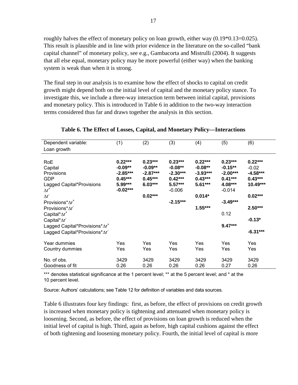roughly halves the effect of monetary policy on loan growth, either way  $(0.19*0.13=0.025)$ . This result is plausible and in line with prior evidence in the literature on the so-called "bank capital channel" of monetary policy, see e.g., Gambacorta and Mistrulli (2004). It suggests that all else equal, monetary policy may be more powerful (either way) when the banking system is weak than when it is strong.

The final step in our analysis is to examine how the effect of shocks to capital on credit growth might depend both on the initial level of capital and the monetary policy stance. To investigate this, we include a three-way interaction term between initial capital, provisions and monetary policy. This is introduced in Table 6 in addition to the two-way interaction terms considered thus far and draws together the analysis in this section.

| Dependent variable:                                                                                  | (1)                                                          | (2)                                                            | (3)                                                            | (4)                                                            | (5)                                                          | (6)                                                         |
|------------------------------------------------------------------------------------------------------|--------------------------------------------------------------|----------------------------------------------------------------|----------------------------------------------------------------|----------------------------------------------------------------|--------------------------------------------------------------|-------------------------------------------------------------|
| Loan growth                                                                                          |                                                              |                                                                |                                                                |                                                                |                                                              |                                                             |
| RoE<br>Capital<br><b>Provisions</b><br>GDP<br>Lagged Capital*Provisions                              | $0.22***$<br>$-0.09**$<br>$-2.85***$<br>$0.45***$<br>5.99*** | $0.23***$<br>$-0.09**$<br>$-2.87***$<br>$0.45***$<br>$6.03***$ | $0.23***$<br>$-0.08**$<br>$-2.30***$<br>$0.42***$<br>$5.57***$ | $0.22***$<br>$-0.08**$<br>$-3.93***$<br>$0.43***$<br>$5.61***$ | $0.23***$<br>$-0.15**$<br>$-2.00***$<br>$0.41***$<br>4.08*** | $0.22***$<br>$-0.02$<br>$-4.58***$<br>$0.43***$<br>10.49*** |
| $\Delta r^*$<br>$\Delta r$<br>Provisions <sup>*</sup> ∆r <sup>+</sup>                                | $-0.02***$                                                   | $0.02***$                                                      | $-0.006$<br>$-2.15***$                                         | $0.014*$                                                       | $-0.014$<br>$-3.49***$                                       | $0.02***$                                                   |
| Provisions*∆r <sup>-</sup><br>Capital* $\Delta r^*$                                                  |                                                              |                                                                |                                                                | $1.55***$                                                      | 0.12                                                         | $2.50***$                                                   |
| Capital*∆r <sup>-</sup><br>Lagged Capital*Provisions*∆r <sup>+</sup><br>Lagged Capital*Provisions*Ar |                                                              |                                                                |                                                                |                                                                | $9.47***$                                                    | $-0.13*$<br>$-6.31***$                                      |
| Year dummies<br>Country dummies                                                                      | Yes<br>Yes                                                   | Yes<br>Yes                                                     | Yes<br>Yes                                                     | Yes<br>Yes                                                     | <b>Yes</b><br>Yes                                            | <b>Yes</b><br><b>Yes</b>                                    |
| No. of obs.<br>Goodness of fit                                                                       | 3429<br>0.26                                                 | 3429<br>0.26                                                   | 3429<br>0.26                                                   | 3429<br>0.26                                                   | 3429<br>0.27                                                 | 3429<br>0.26                                                |

**Table 6. The Effect of Losses, Capital, and Monetary Policy—Interactions** 

\*\*\* denotes statistical significance at the 1 percent level; \*\* at the 5 percent level; and \* at the 10 percent level.

Source: Authors' calculations; see Table 12 for definition of variables and data sources.

Table 6 illustrates four key findings: first, as before, the effect of provisions on credit growth is increased when monetary policy is tightening and attenuated when monetary policy is loosening. Second, as before, the effect of provisions on loan growth is reduced when the initial level of capital is high. Third, again as before, high capital cushions against the effect of both tightening and loosening monetary policy. Fourth, the initial level of capital is more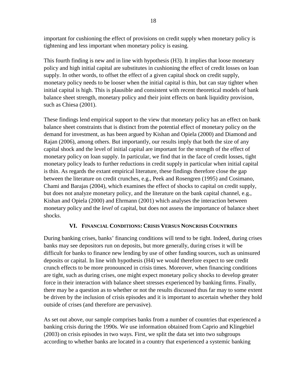important for cushioning the effect of provisions on credit supply when monetary policy is tightening and less important when monetary policy is easing.

This fourth finding is new and in line with hypothesis (H3). It implies that loose monetary policy and high initial capital are substitutes in cushioning the effect of credit losses on loan supply. In other words, to offset the effect of a given capital shock on credit supply, monetary policy needs to be looser when the initial capital is thin, but can stay tighter when initial capital is high. This is plausible and consistent with recent theoretical models of bank balance sheet strength, monetary policy and their joint effects on bank liquidity provision, such as Chiesa (2001).

These findings lend empirical support to the view that monetary policy has an effect on bank balance sheet constraints that is distinct from the potential effect of monetary policy on the demand for investment, as has been argued by Kishan and Opiela (2000) and Diamond and Rajan (2006), among others. But importantly, our results imply that both the size of any capital shock and the level of initial capital are important for the strength of the effect of monetary policy on loan supply. In particular, we find that in the face of credit losses, tight monetary policy leads to further reductions in credit supply in particular when initial capital is thin. As regards the extant empirical literature, these findings therefore close the gap between the literature on credit crunches, e.g., Peek and Rosengren (1995) and Cosimano, Chami and Barajas (2004), which examines the effect of shocks to capital on credit supply, but does not analyze monetary policy, and the literature on the bank capital channel, e.g., Kishan and Opiela (2000) and Ehrmann (2001) which analyses the interaction between monetary policy and the *level* of capital, but does not assess the importance of balance sheet shocks.

## **VI. FINANCIAL CONDITIONS: CRISIS VERSUS NONCRISIS COUNTRIES**

During banking crises, banks' financing conditions will tend to be tight. Indeed, during crises banks may see depositors run on deposits, but more generally, during crises it will be difficult for banks to finance new lending by use of other funding sources, such as uninsured deposits or capital. In line with hypothesis (H4) we would therefore expect to see credit crunch effects to be more pronounced in crisis times. Moreover, when financing conditions are tight, such as during crises, one might expect monetary policy shocks to develop greater force in their interaction with balance sheet stresses experienced by banking firms. Finally, there may be a question as to whether or not the results discussed thus far may to some extent be driven by the inclusion of crisis episodes and it is important to ascertain whether they hold outside of crises (and therefore are pervasive).

As set out above, our sample comprises banks from a number of countries that experienced a banking crisis during the 1990s. We use information obtained from Caprio and Klingebiel (2003) on crisis episodes in two ways. First, we split the data set into two subgroups according to whether banks are located in a country that experienced a systemic banking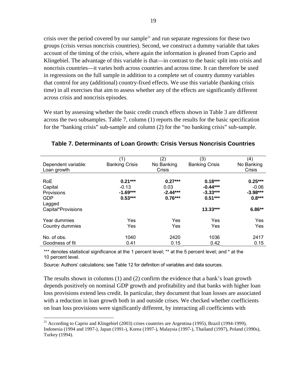crisis over the period covered by our sample<sup>21</sup> and run separate regressions for these two groups (crisis versus noncrisis countries). Second, we construct a dummy variable that takes account of the timing of the crisis, where again the information is gleaned from Caprio and Klingebiel. The advantage of this variable is that—in contrast to the basic split into crisis and noncrisis countries—it varies both across countries and across time. It can therefore be used in regressions on the full sample in addition to a complete set of country dummy variables that control for any (additional) country-fixed effects. We use this variable (banking crisis time) in all exercises that aim to assess whether any of the effects are significantly different across crisis and noncrisis episodes.

We start by assessing whether the basic credit crunch effects shown in Table 3 are different across the two subsamples. Table 7, column (1) reports the results for the basic specification for the "banking crisis" sub-sample and column (2) for the "no banking crisis" sub-sample.

| Dependent variable:                                         | (1)<br><b>Banking Crisis</b>                    | (2)<br>No Banking                            | (3)<br><b>Banking Crisis</b>                       | (4)<br>No Banking                              |
|-------------------------------------------------------------|-------------------------------------------------|----------------------------------------------|----------------------------------------------------|------------------------------------------------|
| Loan growth                                                 |                                                 | Crisis                                       |                                                    | Crisis                                         |
| <b>RoE</b><br>Capital<br>Provisions<br><b>GDP</b><br>Lagged | $0.21***$<br>$-0.13$<br>$-1.69***$<br>$0.53***$ | $0.27***$<br>0.03<br>$-2.44***$<br>$0.76***$ | $0.18***$<br>$-0.44***$<br>$-3.33***$<br>$0.51***$ | $0.25***$<br>$-0.06$<br>$-3.98***$<br>$0.8***$ |
| Capital*Provisions                                          |                                                 |                                              | $13.33***$                                         | $6.86**$                                       |
| Year dummies<br>Country dummies                             | Yes<br>Yes                                      | Yes<br>Yes                                   | Yes<br>Yes                                         | Yes<br>Yes                                     |
| No. of obs.<br>Goodness of fit                              | 1040<br>0.41                                    | 2420<br>0.15                                 | 1036<br>0.42                                       | 2417<br>0.15                                   |

**Table 7. Determinants of Loan Growth: Crisis Versus Noncrisis Countries** 

\*\*\* denotes statistical significance at the 1 percent level; \*\* at the 5 percent level; and \* at the 10 percent level.

Source: Authors' calculations; see Table 12 for definition of variables and data sources.

 $\overline{a}$ 

The results shown in columns (1) and (2) confirm the evidence that a bank's loan growth depends positively on nominal GDP growth and profitability and that banks with higher loan loss provisions extend less credit. In particular, they document that loan losses are associated with a reduction in loan growth both in and outside crises. We checked whether coefficients on loan loss provisions were significantly different, by interacting all coefficients with

<sup>&</sup>lt;sup>21</sup> According to Caprio and Klingebiel (2003) crises countries are Argentina (1995), Brazil (1994-1999), Indonesia (1994 and 1997-), Japan (1991-), Korea (1997-), Malaysia (1997-), Thailand (1997), Poland (1990s), Turkey (1994).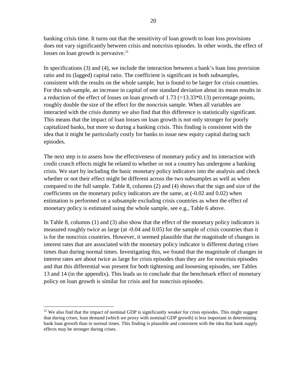banking crisis time. It turns out that the sensitivity of loan growth to loan loss provisions does not vary significantly between crisis and noncrisis episodes. In other words, the effect of losses on loan growth is pervasive. $22$ 

In specifications (3) and (4), we include the interaction between a bank's loan loss provision ratio and its (lagged) capital ratio. The coefficient is significant in both subsamples, consistent with the results on the whole sample, but is found to be larger for crisis countries. For this sub-sample, an increase in capital of one standard deviation about its mean results in a reduction of the effect of losses on loan growth of  $1.73$  (=13.33 $*0.13$ ) percentage points, roughly double the size of the effect for the noncrisis sample. When all variables are interacted with the crisis dummy we also find that this difference is statistically significant. This means that the impact of loan losses on loan growth is not only stronger for poorly capitalized banks, but more so during a banking crisis. This finding is consistent with the idea that it might be particularly costly for banks to issue new equity capital during such episodes.

The next step is to assess how the effectiveness of monetary policy and its interaction with credit crunch effects might be related to whether or not a country has undergone a banking crisis. We start by including the basic monetary policy indicators into the analysis and check whether or not their effect might be different across the two subsamples as well as when compared to the full sample. Table 8, columns (2) and (4) shows that the sign and size of the coefficients on the monetary policy indicators are the same, at (-0.02 and 0.02) when estimation is performed on a subsample excluding crisis countries as when the effect of monetary policy is estimated using the whole sample, see e.g., Table 6 above.

In Table 8, columns (1) and (3) also show that the effect of the monetary policy indicators is measured roughly twice as large (at -0.04 and 0.05) for the sample of crisis countries than it is for the noncrisis countries. However, it seemed plausible that the magnitude of changes in interest rates that are associated with the monetary policy indicator is different during crises times than during normal times. Investigating this, we found that the magnitude of changes in interest rates are about twice as large for crisis episodes than they are for noncrisis episodes and that this differential was present for both tightening and loosening episodes, see Tables 13 and 14 (in the appendix). This leads us to conclude that the benchmark effect of monetary policy on loan growth is similar for crisis and for noncrisis episodes.

 $22$  We also find that the impact of nominal GDP is significantly weaker for crisis episodes. This might suggest that during crises, loan demand (which we proxy with nominal GDP growth) is less important in determining bank loan growth than in normal times. This finding is plausible and consistent with the idea that bank supply effects may be stronger during crises.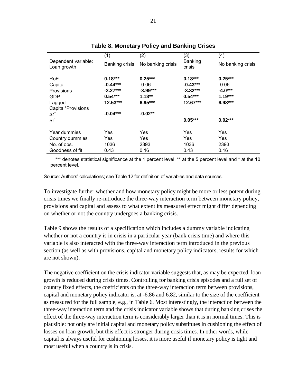|                                    | (1)                   | (2)               | (3)                      | (4)               |
|------------------------------------|-----------------------|-------------------|--------------------------|-------------------|
| Dependent variable:<br>Loan growth | <b>Banking crisis</b> | No banking crisis | <b>Banking</b><br>crisis | No banking crisis |
|                                    |                       |                   |                          |                   |
| RoE                                | $0.18***$             | $0.25***$         | $0.18***$                | $0.25***$         |
| Capital                            | $-0.44***$            | $-0.06$           | $-0.43***$               | $-0.06$           |
| <b>Provisions</b>                  | $-3.27***$            | $-3.99***$        | $-3.32***$               | $-4.0***$         |
| <b>GDP</b>                         | $0.54***$             | $1.18**$          | $0.54***$                | $1.19***$         |
| Lagged                             | 12.53***              | $6.95***$         | $12.67***$               | $6.98***$         |
| Capital*Provisions                 |                       |                   |                          |                   |
| $\Delta r^*$                       | $-0.04***$            | $-0.02**$         |                          |                   |
| $\Delta r$                         |                       |                   | $0.05***$                | $0.02***$         |
| Year dummies                       | Yes                   | Yes               | Yes                      | Yes               |
| Country dummies                    | Yes                   | Yes               | Yes                      | Yes               |
| No. of obs.                        | 1036                  | 2393              | 1036                     | 2393              |
| Goodness of fit                    | 0.43                  | 0.16              | 0.43                     | 0.16              |

## **Table 8. Monetary Policy and Banking Crises**

\*\*\* denotes statistical significance at the 1 percent level, \*\* at the 5 percent level and \* at the 10 percent level.

Source: Authors' calculations; see Table 12 for definition of variables and data sources.

To investigate further whether and how monetary policy might be more or less potent during crisis times we finally re-introduce the three-way interaction term between monetary policy, provisions and capital and assess to what extent its measured effect might differ depending on whether or not the country undergoes a banking crisis.

Table 9 shows the results of a specification which includes a dummy variable indicating whether or not a country is in crisis in a particular year (bank crisis time) and where this variable is also interacted with the three-way interaction term introduced in the previous section (as well as with provisions, capital and monetary policy indicators, results for which are not shown).

The negative coefficient on the crisis indicator variable suggests that, as may be expected, loan growth is reduced during crisis times. Controlling for banking crisis episodes and a full set of country fixed effects, the coefficients on the three-way interaction term between provisions, capital and monetary policy indicator is, at -6.86 and 6.82, similar to the size of the coefficient as measured for the full sample, e.g., in Table 6. Most interestingly, the interaction between the three-way interaction term and the crisis indicator variable shows that during banking crises the effect of the three-way interaction term is considerably larger than it is in normal times. This is plausible: not only are initial capital and monetary policy substitutes in cushioning the effect of losses on loan growth, but this effect is stronger during crisis times. In other words, while capital is always useful for cushioning losses, it is more useful if monetary policy is tight and most useful when a country is in crisis.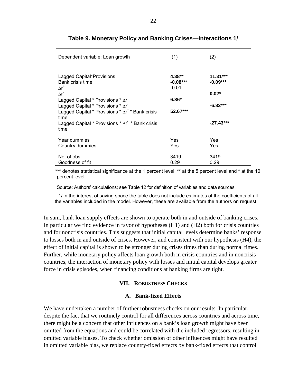| Dependent variable: Loan growth                                                                                | (1)                               | (2)                      |
|----------------------------------------------------------------------------------------------------------------|-----------------------------------|--------------------------|
| Lagged Capital*Provisions<br>Bank crisis time<br>$\Delta r^*$                                                  | $4.38**$<br>$-0.08***$<br>$-0.01$ | $11.31***$<br>$-0.09***$ |
| $\Lambda r$<br>Lagged Capital * Provisions $*\Delta r^+$                                                       | $6.86*$                           | $0.02*$                  |
| Lagged Capital * Provisions $*$ $\Delta r$<br>Lagged Capital * Provisions * $\Delta r^*$ * Bank crisis<br>time | 52.67***                          | $-6.82***$               |
| Lagged Capital * Provisions $*$ $\Delta r$ * Bank crisis<br>time                                               |                                   | $-27.43***$              |
| Year dummies<br>Country dummies                                                                                | Yes<br>Yes                        | Yes<br>Yes               |
| No. of obs.<br>Goodness of fit                                                                                 | 3419<br>0.29                      | 3419<br>0.29             |

## **Table 9. Monetary Policy and Banking Crises—Interactions 1/**

\*\*\* denotes statistical significance at the 1 percent level, \*\* at the 5 percent level and \* at the 10 percent level.

Source: Authors' calculations; see Table 12 for definition of variables and data sources.

1/ In the interest of saving space the table does not include estimates of the coefficients of all the variables included in the model. However, these are available from the authors on request.

In sum, bank loan supply effects are shown to operate both in and outside of banking crises. In particular we find evidence in favor of hypotheses (H1) and (H2) both for crisis countries and for noncrisis countries. This suggests that initial capital levels determine banks' response to losses both in and outside of crises. However, and consistent with our hypothesis (H4), the effect of initial capital is shown to be stronger during crises times than during normal times. Further, while monetary policy affects loan growth both in crisis countries and in noncrisis countries, the interaction of monetary policy with losses and initial capital develops greater force in crisis episodes, when financing conditions at banking firms are tight.

### **VII. ROBUSTNESS CHECKS**

#### **A. Bank-fixed Effects**

We have undertaken a number of further robustness checks on our results. In particular, despite the fact that we routinely control for all differences across countries and across time, there might be a concern that other influences on a bank's loan growth might have been omitted from the equations and could be correlated with the included regressors, resulting in omitted variable biases. To check whether omission of other influences might have resulted in omitted variable bias, we replace country-fixed effects by bank-fixed effects that control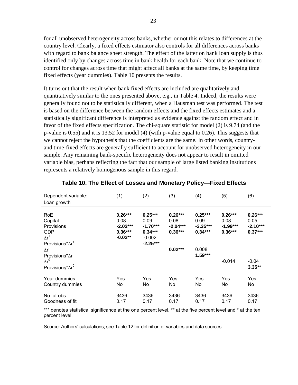for all unobserved heterogeneity across banks, whether or not this relates to differences at the country level. Clearly, a fixed effects estimator also controls for all differences across banks with regard to bank balance sheet strength. The effect of the latter on bank loan supply is thus identified only by changes across time in bank health for each bank. Note that we continue to control for changes across time that might affect all banks at the same time, by keeping time fixed effects (year dummies). Table 10 presents the results.

It turns out that the result when bank fixed effects are included are qualitatively and quantitatively similar to the ones presented above, e.g., in Table 4. Indeed, the results were generally found not to be statistically different, when a Hausman test was performed. The test is based on the difference between the random effects and the fixed effects estimates and a statistically significant difference is interpreted as evidence against the random effect and in favor of the fixed effects specification. The chi-square statistic for model (2) is 9.74 (and the p-value is 0.55) and it is 13.52 for model (4) (with p-value equal to 0.26). This suggests that we cannot reject the hypothesis that the coefficients are the same. In other words, countryand time-fixed effects are generally sufficient to account for unobserved heterogeneity in our sample. Any remaining bank-specific heterogeneity does not appear to result in omitted variable bias, perhaps reflecting the fact that our sample of large listed banking institutions represents a relatively homogenous sample in this regard.

| Dependent variable:        | (1)        | (2)        | (3)        | (4)        | (5)        | (6)        |
|----------------------------|------------|------------|------------|------------|------------|------------|
| Loan growth                |            |            |            |            |            |            |
|                            |            |            |            |            |            |            |
| RoE                        | $0.26***$  | $0.25***$  | $0.26***$  | $0.25***$  | $0.26***$  | $0.26***$  |
| Capital                    | 0.08       | 0.09       | 0.08       | 0.09       | 0.08       | 0.05       |
| <b>Provisions</b>          | $-2.02***$ | $-1.70***$ | $-2.04***$ | $-3.35***$ | $-1.99***$ | $-2.10***$ |
| <b>GDP</b>                 | $0.36***$  | $0.34***$  | $0.36***$  | $0.34***$  | $0.36***$  | $0.37***$  |
| $\Delta r^*$               | $-0.02**$  | $-0.002$   |            |            |            |            |
| Provisions*∆r <sup>+</sup> |            | $-2.25***$ |            |            |            |            |
| $\Delta r$                 |            |            | $0.02***$  | 0.008      |            |            |
| Provisions*Ar              |            |            |            | $1.59***$  |            |            |
| $\Delta r^0$               |            |            |            |            | $-0.014$   | $-0.04$    |
| Provisions* $\Delta r^0$   |            |            |            |            |            | $3.35**$   |
| Year dummies               | Yes        | Yes        | Yes        | Yes        | Yes        | Yes        |
| Country dummies            | No         | No         | No         | No         | No         | No         |
| No. of obs.                | 3436       | 3436       | 3436       | 3436       | 3436       | 3436       |
| Goodness of fit            | 0.17       | 0.17       | 0.17       | 0.17       | 0.17       | 0.17       |

## **Table 10. The Effect of Losses and Monetary Policy—Fixed Effects**

\*\*\* denotes statistical significance at the one percent level, \*\* at the five percent level and \* at the ten percent level.

Source: Authors' calculations; see Table 12 for definition of variables and data sources.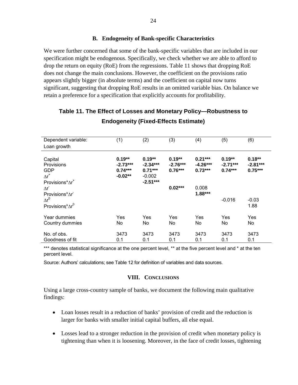## **B. Endogeneity of Bank-specific Characteristics**

We were further concerned that some of the bank-specific variables that are included in our specification might be endogenous. Specifically, we check whether we are able to afford to drop the return on equity (RoE) from the regressions. Table 11 shows that dropping RoE does not change the main conclusions. However, the coefficient on the provisions ratio appears slightly bigger (in absolute terms) and the coefficient on capital now turns significant, suggesting that dropping RoE results in an omitted variable bias. On balance we retain a preference for a specification that explicitly accounts for profitability.

| Dependent variable:        | (1)        | (2)        | (3)        | (4)        | (5)        | (6)        |
|----------------------------|------------|------------|------------|------------|------------|------------|
| Loan growth                |            |            |            |            |            |            |
|                            |            |            |            |            |            |            |
| Capital                    | $0.19**$   | $0.19**$   | $0.19**$   | $0.21***$  | $0.19**$   | $0.18***$  |
| Provisions                 | $-2.73***$ | $-2.34***$ | $-2.76***$ | $-4.26***$ | $-2.71***$ | $-2.81***$ |
| <b>GDP</b>                 | $0.74***$  | $0.71***$  | $0.76***$  | $0.73***$  | $0.74***$  | $0.75***$  |
| $\Delta r^*$               | $-0.02**$  | $-0.002$   |            |            |            |            |
| Provisions*∆r <sup>+</sup> |            | $-2.51***$ |            |            |            |            |
| $\Delta r$                 |            |            | $0.02***$  | 0.008      |            |            |
| Provisions*Ar              |            |            |            | $1.88***$  |            |            |
| $\Delta r^0$               |            |            |            |            | $-0.016$   | $-0.03$    |
| Provisions* $\Delta r^0$   |            |            |            |            |            | 1.88       |
|                            |            |            |            |            |            |            |
| Year dummies               | Yes        | Yes        | Yes        | Yes        | Yes        | Yes        |
| Country dummies            | No         | No         | No         | No         | No         | No         |
|                            |            |            |            |            |            |            |
| No. of obs.                | 3473       | 3473       | 3473       | 3473       | 3473       | 3473       |
| Goodness of fit            | 0.1        | 0.1        | 0.1        | 0.1        | 0.1        | 0.1        |

## **Table 11. The Effect of Losses and Monetary Policy—Robustness to Endogeneity (Fixed-Effects Estimate)**

\*\*\* denotes statistical significance at the one percent level, \*\* at the five percent level and \* at the ten percent level.

Source: Authors' calculations; see Table 12 for definition of variables and data sources.

### **VIII. CONCLUSIONS**

Using a large cross-country sample of banks, we document the following main qualitative findings:

- Loan losses result in a reduction of banks' provision of credit and the reduction is larger for banks with smaller initial capital buffers, all else equal.
- Losses lead to a stronger reduction in the provision of credit when monetary policy is tightening than when it is loosening. Moreover, in the face of credit losses, tightening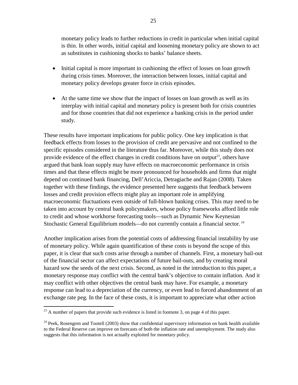monetary policy leads to further reductions in credit in particular when initial capital is thin. In other words, initial capital and loosening monetary policy are shown to act as substitutes in cushioning shocks to banks' balance sheets.

- Initial capital is more important in cushioning the effect of losses on loan growth during crisis times. Moreover, the interaction between losses, initial capital and monetary policy develops greater force in crisis episodes.
- At the same time we show that the impact of losses on loan growth as well as its interplay with initial capital and monetary policy is present both for crisis countries and for those countries that did not experience a banking crisis in the period under study.

These results have important implications for public policy. One key implication is that feedback effects from losses to the provision of credit are pervasive and not confined to the specific episodes considered in the literature thus far. Moreover, while this study does not provide evidence of the effect changes in credit conditions have on output<sup>23</sup>, others have argued that bank loan supply may have effects on macroeconomic performance in crisis times and that these effects might be more pronounced for households and firms that might depend on continued bank financing, Dell'Ariccia, Detragiache and Rajan (2008). Taken together with these findings, the evidence presented here suggests that feedback between losses and credit provision effects might play an important role in amplifying macroeconomic fluctuations even outside of full-blown banking crises. This may need to be taken into account by central bank policymakers, whose policy frameworks afford little role to credit and whose workhorse forecasting tools—such as Dynamic New Keynesian Stochastic General Equilibrium models—do not currently contain a financial sector.<sup>24</sup>

Another implication arises from the potential costs of addressing financial instability by use of monetary policy. While again quantification of these costs is beyond the scope of this paper, it is clear that such costs arise through a number of channels. First, a monetary bail-out of the financial sector can affect expectations of future bail-outs, and by creating moral hazard sow the seeds of the next crisis. Second, as noted in the introduction to this paper, a monetary response may conflict with the central bank's objective to contain inflation. And it may conflict with other objectives the central bank may have. For example, a monetary response can lead to a depreciation of the currency, or even lead to forced abandonment of an exchange rate peg. In the face of these costs, it is important to appreciate what other action

1

 $^{23}$  A number of papers that provide such evidence is listed in footnote 3, on page 4 of this paper.

<sup>&</sup>lt;sup>24</sup> Peek, Rosengren and Tootell (2003) show that confidential supervisory information on bank health available to the Federal Reserve can improve on forecasts of both the inflation rate and unemployment. The study also suggests that this information is not actually exploited for monetary policy.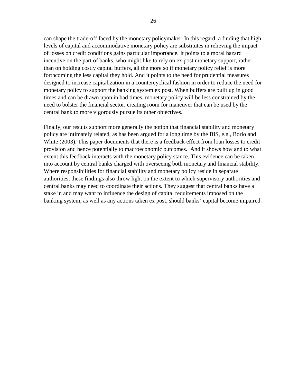can shape the trade-off faced by the monetary policymaker. In this regard, a finding that high levels of capital and accommodative monetary policy are substitutes in relieving the impact of losses on credit conditions gains particular importance. It points to a moral hazard incentive on the part of banks, who might like to rely on ex post monetary support, rather than on holding costly capital buffers, all the more so if monetary policy relief is more forthcoming the less capital they hold. And it points to the need for prudential measures designed to increase capitalization in a countercyclical fashion in order to reduce the need for monetary policy to support the banking system ex post. When buffers are built up in good times and can be drawn upon in bad times, monetary policy will be less constrained by the need to bolster the financial sector, creating room for maneuver that can be used by the central bank to more vigorously pursue its other objectives.

Finally, our results support more generally the notion that financial stability and monetary policy are intimately related, as has been argued for a long time by the BIS, e.g., Borio and White (2003). This paper documents that there is a feedback effect from loan losses to credit provision and hence potentially to macroeconomic outcomes. And it shows how and to what extent this feedback interacts with the monetary policy stance. This evidence can be taken into account by central banks charged with overseeing both monetary and financial stability. Where responsibilities for financial stability and monetary policy reside in separate authorities, these findings also throw light on the extent to which supervisory authorities and central banks may need to coordinate their actions. They suggest that central banks have a stake in and may want to influence the design of capital requirements imposed on the banking system, as well as any actions taken ex post, should banks' capital become impaired.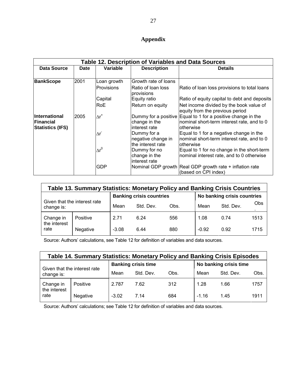## **Appendix**

| <b>Table 12. Description of Variables and Data Sources</b> |             |              |                                                        |                                                                                                                         |  |  |  |
|------------------------------------------------------------|-------------|--------------|--------------------------------------------------------|-------------------------------------------------------------------------------------------------------------------------|--|--|--|
| Data Source                                                | <b>Date</b> | Variable     | <b>Description</b>                                     | <b>Details</b>                                                                                                          |  |  |  |
|                                                            |             |              |                                                        |                                                                                                                         |  |  |  |
| <b>BankScope</b>                                           | 2001        | Loan growth  | Growth rate of loans                                   |                                                                                                                         |  |  |  |
|                                                            |             | Provisions   | Ratio of loan loss<br>provisions                       | Ratio of loan loss provisions to total loans                                                                            |  |  |  |
|                                                            |             | Capital      | Equity ratio                                           | Ratio of equity capital to debt and deposits                                                                            |  |  |  |
|                                                            |             | RoE          | Return on equity                                       | Net income divided by the book value of<br>equity from the previous period                                              |  |  |  |
| International<br>lFinancial<br><b>Statistics (IFS)</b>     | 2005        | $\Delta r^*$ | change in the<br>interest rate                         | Dummy for a positive Equal to 1 for a positive change in the<br>nominal short-term interest rate, and to 0<br>otherwise |  |  |  |
|                                                            |             | Λr           | Dummy for a<br>negative change in<br>the interest rate | Equal to 1 for a negative change in the<br>nominal short-term interest rate, and to 0<br>otherwise                      |  |  |  |
|                                                            |             | $\Delta r^0$ | Dummy for no<br>change in the<br>interest rate         | Equal to 1 for no change in the short-term<br>nominal interest rate, and to 0 otherwise                                 |  |  |  |
|                                                            |             | GDP          |                                                        | Nominal GDP growth Real GDP growth rate + inflation rate<br>(based on CPI index)                                        |  |  |  |

| Table 13. Summary Statistics: Monetary Policy and Banking Crisis Countries |          |                                 |           |      |                             |           |      |  |  |
|----------------------------------------------------------------------------|----------|---------------------------------|-----------|------|-----------------------------|-----------|------|--|--|
| Given that the interest rate<br>change is:                                 |          | <b>Banking crisis countries</b> |           |      | No banking crisis countries |           |      |  |  |
|                                                                            |          | Mean                            | Std. Dev. | Obs. | Mean                        | Std. Dev. | Obs  |  |  |
| Change in<br>the interest<br>rate                                          | Positive | 2.71                            | 6.24      | 556  | 1.08                        | 0.74      | 1513 |  |  |
|                                                                            | Negative | $-3.08$                         | 6.44      | 880  | $-0.92$                     | 0.92      | 1715 |  |  |

Source: Authors' calculations, see Table 12 for definition of variables and data sources.

| Table 14. Summary Statistics: Monetary Policy and Banking Crisis Episodes |          |                            |           |      |                        |           |      |  |  |
|---------------------------------------------------------------------------|----------|----------------------------|-----------|------|------------------------|-----------|------|--|--|
| Given that the interest rate<br>change is:                                |          | <b>Banking crisis time</b> |           |      | No banking crisis time |           |      |  |  |
|                                                                           |          | Mean                       | Std. Dev. | Obs. | Mean                   | Std. Dev. | Obs. |  |  |
| Change in<br>the interest<br>rate                                         | Positive | 2.787                      | 7.62      | 312  | 1.28                   | 1.66      | 1757 |  |  |
|                                                                           | Negative | $-3.02$                    | 7.14      | 684  | $-1.16$                | 1.45      | 1911 |  |  |

Source: Authors' calculations; see Table 12 for definition of variables and data sources.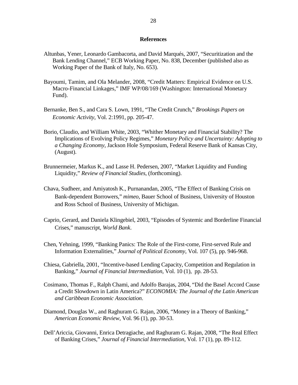#### **References**

- Altunbas, Yener, Leonardo Gambacorta, and David Marqués, 2007, "Securitization and the Bank Lending Channel," ECB Working Paper, No. 838, December (published also as Working Paper of the Bank of Italy, No. 653).
- Bayoumi, Tamim, and Ola Melander, 2008, "Credit Matters: Empirical Evidence on U.S. Macro-Financial Linkages," IMF WP/08/169 (Washington: International Monetary Fund).
- Bernanke, Ben S., and Cara S. Lown, 1991, "The Credit Crunch," *Brookings Papers on Economic Activity*, Vol. 2:1991, pp. 205-47.
- Borio, Claudio, and William White, 2003, "Whither Monetary and Financial Stability? The Implications of Evolving Policy Regimes," *Monetary Policy and Uncertainty: Adopting to a Changing Economy*, Jackson Hole Symposium, Federal Reserve Bank of Kansas City, (August).
- Brunnermeier, Markus K., and Lasse H. Pedersen, 2007, "Market Liquidity and Funding Liquidity," *Review of Financial Studies*, (forthcoming).
- Chava, Sudheer, and Amiyatosh K., Purnanandan, 2005, "The Effect of Banking Crisis on Bank-dependent Borrowers," *mimeo*, Bauer School of Business, University of Houston and Ross School of Business, University of Michigan.
- Caprio, Gerard, and Daniela Klingebiel, 2003, "Episodes of Systemic and Borderline Financial Crises," manuscript, *World Bank*.
- Chen, Yehning, 1999, "Banking Panics: The Role of the First-come, First-served Rule and Information Externalities," *Journal of Political Economy*, Vol. 107 (5), pp. 946-968.
- Chiesa, Gabriella, 2001, "Incentive-based Lending Capacity, Competition and Regulation in Banking," *Journal of Financial Intermediation*, Vol. 10 (1), pp. 28-53.
- Cosimano, Thomas F., Ralph Chami, and Adolfo Barajas, 2004, "Did the Basel Accord Cause a Credit Slowdown in Latin America?" *ECONOMIA: The Journal of the Latin American and Caribbean Economic Association*.
- Diamond, Douglas W., and Raghuram G. Rajan, 2006, "Money in a Theory of Banking," *American Economic Review*, Vol. 96 (1), pp. 30-53.
- Dell'Ariccia, Giovanni, Enrica Detragiache, and Raghuram G. Rajan, 2008, "The Real Effect of Banking Crises," *Journal of Financial Intermediation*, Vol. 17 (1), pp. 89-112.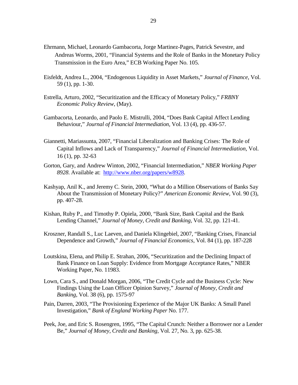- Ehrmann, Michael, Leonardo Gambacorta, Jorge Martinez-Pages, Patrick Sevestre, and Andreas Worms, 2001, "Financial Systems and the Role of Banks in the Monetary Policy Transmission in the Euro Area," ECB Working Paper No. 105.
- Eisfeldt, Andrea L., 2004, "Endogenous Liquidity in Asset Markets," *Journal of Finance*, Vol. 59 (1), pp. 1-30.
- Estrella, Arturo, 2002, "Securitization and the Efficacy of Monetary Policy," *FRBNY Economic Policy Review*, (May).
- Gambacorta, Leonardo, and Paolo E. Mistrulli, 2004, "Does Bank Capital Affect Lending Behaviour," *Journal of Financial Intermediation,* Vol. 13 (4), pp. 436-57.
- Giannetti, Mariassunta, 2007, "Financial Liberalization and Banking Crises: The Role of Capital Inflows and Lack of Transparency," *Journal of Financial Intermediation,* Vol. 16 (1), pp. 32-63
- Gorton, Gary, and Andrew Winton, 2002, "Financial Intermediation," *NBER Working Paper 8928*. Available at: http://www.nber.org/papers/w8928.
- Kashyap, Anil K., and Jeremy C. Stein, 2000, "What do a Million Observations of Banks Say About the Transmission of Monetary Policy?" *American Economic Review,* Vol. 90 (3), pp. 407-28.
- Kishan, Ruby P., and Timothy P. Opiela, 2000, "Bank Size, Bank Capital and the Bank Lending Channel," *Journal of Money, Credit and Banking,* Vol. 32, pp. 121-41.
- Kroszner, Randall S., Luc Laeven, and Daniela Klingebiel, 2007, "Banking Crises, Financial Dependence and Growth," *Journal of Financial Economics*, Vol. 84 (1), pp. 187-228
- Loutskina, Elena, and Philip E. Strahan, 2006, "Securitization and the Declining Impact of Bank Finance on Loan Supply: Evidence from Mortgage Acceptance Rates," NBER Working Paper, No. 11983.
- Lown, Cara S., and Donald Morgan, 2006, "The Credit Cycle and the Business Cycle: New Findings Using the Loan Officer Opinion Survey," *Journal of Money, Credit and Banking*, Vol. 38 (6), pp. 1575-97
- Pain, Darren, 2003, "The Provisioning Experience of the Major UK Banks: A Small Panel Investigation," *Bank of England Working Paper* No. 177.
- Peek, Joe, and Eric S. Rosengren, 1995, "The Capital Crunch: Neither a Borrower nor a Lender Be," *Journal of Money, Credit and Banking,* Vol. 27, No. 3, pp. 625-38.